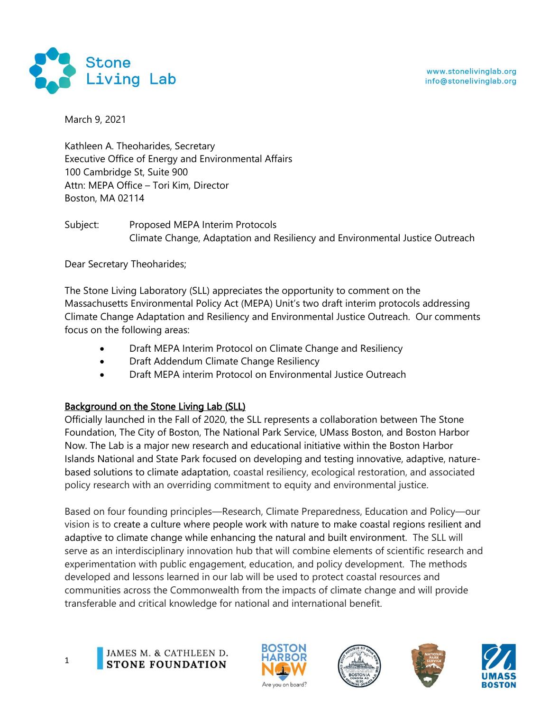

March 9, 2021

Kathleen A. Theoharides, Secretary Executive Office of Energy and Environmental Affairs 100 Cambridge St, Suite 900 Attn: MEPA Office – Tori Kim, Director Boston, MA 02114

Subject: Proposed MEPA Interim Protocols Climate Change, Adaptation and Resiliency and Environmental Justice Outreach

Dear Secretary Theoharides;

The Stone Living Laboratory (SLL) appreciates the opportunity to comment on the Massachusetts Environmental Policy Act (MEPA) Unit's two draft interim protocols addressing Climate Change Adaptation and Resiliency and Environmental Justice Outreach. Our comments focus on the following areas:

- Draft MEPA Interim Protocol on Climate Change and Resiliency
- Draft Addendum Climate Change Resiliency
- Draft MEPA interim Protocol on Environmental Justice Outreach

# Background on the Stone Living Lab (SLL)

Officially launched in the Fall of 2020, the SLL represents a collaboration between The Stone Foundation, The City of Boston, The National Park Service, UMass Boston, and Boston Harbor Now. The Lab is a major new research and educational initiative within the Boston Harbor Islands National and State Park focused on developing and testing innovative, adaptive, naturebased solutions to climate adaptation, coastal resiliency, ecological restoration, and associated policy research with an overriding commitment to equity and environmental justice.

Based on four founding principles—Research, Climate Preparedness, Education and Policy—our vision is to create a culture where people work with nature to make coastal regions resilient and adaptive to climate change while enhancing the natural and built environment. The SLL will serve as an interdisciplinary innovation hub that will combine elements of scientific research and experimentation with public engagement, education, and policy development. The methods developed and lessons learned in our lab will be used to protect coastal resources and communities across the Commonwealth from the impacts of climate change and will provide transferable and critical knowledge for national and international benefit.

1







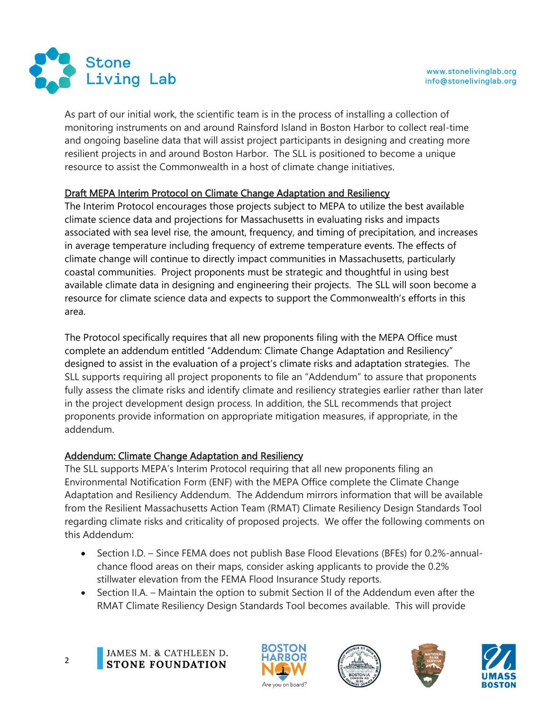

As part of our initial work, the scientific team is in the process of installing a collection of monitoring instruments on and around Rainsford Island in Boston Harbor to collect real-time and ongoing baseline data that will assist project participants in designing and creating more resilient projects in and around Boston Harbor. The SLL is positioned to become a unique resource to assist the Commonwealth in a host of climate change initiatives.

## Draft MEPA Interim Protocol on Climate Change Adaptation and Resiliency

The Interim Protocol encourages those projects subject to MEPA to utilize the best available climate science data and projections for Massachusetts in evaluating risks and impacts associated with sea level rise, the amount, frequency, and timing of precipitation, and increases in average temperature including frequency of extreme temperature events. The effects of climate change will continue to directly impact communities in Massachusetts, particularly coastal communities. Project proponents must be strategic and thoughtful in using best available climate data in designing and engineering their projects. The SLL will soon become a resource for climate science data and expects to support the Commonwealth's efforts in this area.

The Protocol specifically requires that all new proponents filing with the MEPA Office must complete an addendum entitled "Addendum: Climate Change Adaptation and Resiliency" designed to assist in the evaluation of a project's climate risks and adaptation strategies. The SLL supports requiring all project proponents to file an "Addendum" to assure that proponents fully assess the climate risks and identify climate and resiliency strategies earlier rather than later in the project development design process. In addition, the SLL recommends that project proponents provide information on appropriate mitigation measures, if appropriate, in the addendum.

# Addendum: Climate Change Adaptation and Resiliency

The SLL supports MEPA's Interim Protocol requiring that all new proponents filing an Environmental Notification Form (ENF) with the MEPA Office complete the Climate Change Adaptation and Resiliency Addendum. The Addendum mirrors information that will be available from the Resilient Massachusetts Action Team (RMAT) Climate Resiliency Design Standards Tool regarding climate risks and criticality of proposed projects. We offer the following comments on this Addendum:

- Section I.D. Since FEMA does not publish Base Flood Elevations (BFEs) for 0.2%-annualchance flood areas on their maps, consider asking applicants to provide the 0.2% stillwater elevation from the FEMA Flood Insurance Study reports.
- Section II.A. Maintain the option to submit Section II of the Addendum even after the RMAT Climate Resiliency Design Standards Tool becomes available. This will provide









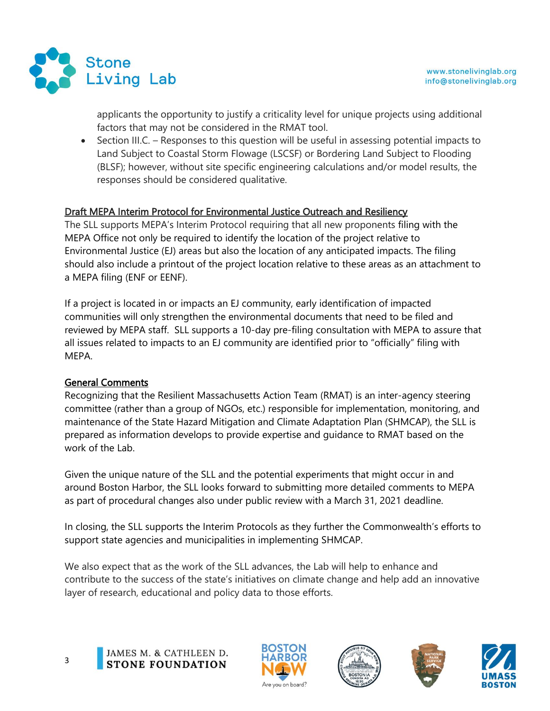

applicants the opportunity to justify a criticality level for unique projects using additional factors that may not be considered in the RMAT tool.

• Section III.C. – Responses to this question will be useful in assessing potential impacts to Land Subject to Coastal Storm Flowage (LSCSF) or Bordering Land Subject to Flooding (BLSF); however, without site specific engineering calculations and/or model results, the responses should be considered qualitative.

## Draft MEPA Interim Protocol for Environmental Justice Outreach and Resiliency

The SLL supports MEPA's Interim Protocol requiring that all new proponents filing with the MEPA Office not only be required to identify the location of the project relative to Environmental Justice (EJ) areas but also the location of any anticipated impacts. The filing should also include a printout of the project location relative to these areas as an attachment to a MEPA filing (ENF or EENF).

If a project is located in or impacts an EJ community, early identification of impacted communities will only strengthen the environmental documents that need to be filed and reviewed by MEPA staff. SLL supports a 10-day pre-filing consultation with MEPA to assure that all issues related to impacts to an EJ community are identified prior to "officially" filing with MEPA.

### General Comments

Recognizing that the Resilient Massachusetts Action Team (RMAT) is an inter-agency steering committee (rather than a group of NGOs, etc.) responsible for implementation, monitoring, and maintenance of the State Hazard Mitigation and Climate Adaptation Plan (SHMCAP), the SLL is prepared as information develops to provide expertise and guidance to RMAT based on the work of the Lab.

Given the unique nature of the SLL and the potential experiments that might occur in and around Boston Harbor, the SLL looks forward to submitting more detailed comments to MEPA as part of procedural changes also under public review with a March 31, 2021 deadline.

In closing, the SLL supports the Interim Protocols as they further the Commonwealth's efforts to support state agencies and municipalities in implementing SHMCAP.

We also expect that as the work of the SLL advances, the Lab will help to enhance and contribute to the success of the state's initiatives on climate change and help add an innovative layer of research, educational and policy data to those efforts.

JAMES M. & CATHLEEN D. **STONE FOUNDATION**